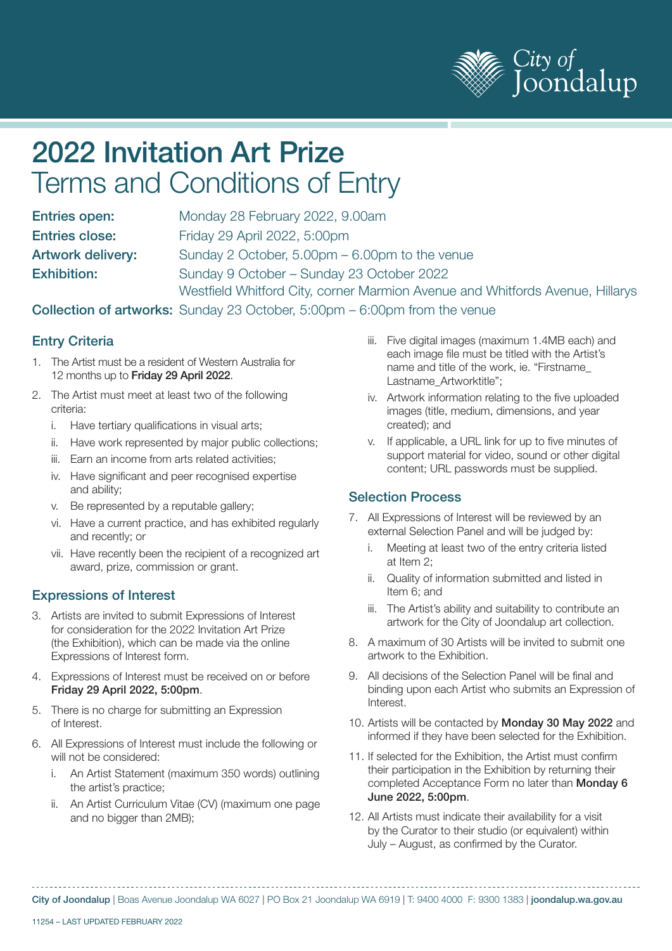

# 2022 Invitation Art Prize Terms and Conditions of Entry

| <b>Entries open:</b>     | Monday 28 February 2022, 9.00am                                               |
|--------------------------|-------------------------------------------------------------------------------|
| <b>Entries close:</b>    | Friday 29 April 2022, 5:00pm                                                  |
| <b>Artwork delivery:</b> | Sunday 2 October, 5.00pm – 6.00pm to the venue                                |
| <b>Exhibition:</b>       | Sunday 9 October - Sunday 23 October 2022                                     |
|                          | Westfield Whitford City, corner Marmion Avenue and Whitfords Avenue, Hillarys |

#### Collection of artworks: Sunday 23 October, 5:00pm – 6:00pm from the venue

## Entry Criteria

- 1. The Artist must be a resident of Western Australia for 12 months up to Friday 29 April 2022.
- 2. The Artist must meet at least two of the following criteria:
	- i. Have tertiary qualifications in visual arts;
	- ii. Have work represented by major public collections;
	- iii. Earn an income from arts related activities;
	- iv. Have significant and peer recognised expertise and ability;
	- v. Be represented by a reputable gallery;
	- vi. Have a current practice, and has exhibited regularly and recently; or
	- vii. Have recently been the recipient of a recognized art award, prize, commission or grant.

#### Expressions of Interest

- 3. Artists are invited to submit Expressions of Interest for consideration for the 2022 Invitation Art Prize (the Exhibition), which can be made via the online Expressions of Interest form.
- 4. Expressions of Interest must be received on or before Friday 29 April 2022, 5:00pm.
- 5. There is no charge for submitting an Expression of Interest.
- 6. All Expressions of Interest must include the following or will not be considered:
	- i. An Artist Statement (maximum 350 words) outlining the artist's practice;
	- ii. An Artist Curriculum Vitae (CV) (maximum one page and no bigger than 2MB);
- iii. Five digital images (maximum 1.4MB each) and each image file must be titled with the Artist's name and title of the work, ie. "Firstname\_ Lastname Artworktitle";
- iv. Artwork information relating to the five uploaded images (title, medium, dimensions, and year created); and
- v. If applicable, a URL link for up to five minutes of support material for video, sound or other digital content; URL passwords must be supplied.

#### Selection Process

- 7. All Expressions of Interest will be reviewed by an external Selection Panel and will be judged by:
	- i. Meeting at least two of the entry criteria listed at Item 2;
	- ii. Quality of information submitted and listed in Item 6; and
	- iii. The Artist's ability and suitability to contribute an artwork for the City of Joondalup art collection.
- 8. A maximum of 30 Artists will be invited to submit one artwork to the Exhibition.
- 9. All decisions of the Selection Panel will be final and binding upon each Artist who submits an Expression of Interest.
- 10. Artists will be contacted by Monday 30 May 2022 and informed if they have been selected for the Exhibition.
- 11. If selected for the Exhibition, the Artist must confirm their participation in the Exhibition by returning their completed Acceptance Form no later than Monday 6 June 2022, 5:00pm.
- 12. All Artists must indicate their availability for a visit by the Curator to their studio (or equivalent) within July – August, as confirmed by the Curator.

City of Joondalup | Boas Avenue Joondalup WA 6027 | PO Box 21 Joondalup WA 6919 | T: 9400 4000 F: 9300 1383 | joondalup.wa.gov.au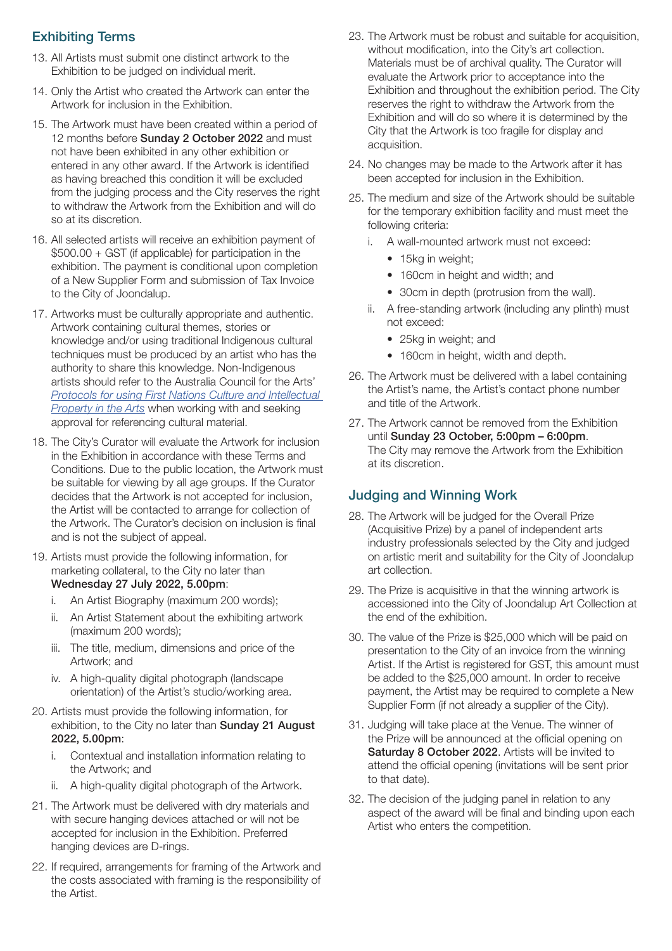## Exhibiting Terms

- 13. All Artists must submit one distinct artwork to the Exhibition to be judged on individual merit.
- 14. Only the Artist who created the Artwork can enter the Artwork for inclusion in the Exhibition.
- 15. The Artwork must have been created within a period of 12 months before Sunday 2 October 2022 and must not have been exhibited in any other exhibition or entered in any other award. If the Artwork is identified as having breached this condition it will be excluded from the judging process and the City reserves the right to withdraw the Artwork from the Exhibition and will do so at its discretion.
- 16. All selected artists will receive an exhibition payment of \$500.00 + GST (if applicable) for participation in the exhibition. The payment is conditional upon completion of a New Supplier Form and submission of Tax Invoice to the City of Joondalup.
- 17. Artworks must be culturally appropriate and authentic. Artwork containing cultural themes, stories or knowledge and/or using traditional Indigenous cultural techniques must be produced by an artist who has the authority to share this knowledge. Non-Indigenous artists should refer to the Australia Council for the Arts' *[Protocols for using First Nations Culture and Intellectual](https://australiacouncil.gov.au/investment-and-development/protocols-and-resources/protocols-for-using-first-nations-cultural-and-intellectual-property-in-the-arts/)  [Property in the Arts](https://australiacouncil.gov.au/investment-and-development/protocols-and-resources/protocols-for-using-first-nations-cultural-and-intellectual-property-in-the-arts/)* when working with and seeking approval for referencing cultural material.
- 18. The City's Curator will evaluate the Artwork for inclusion in the Exhibition in accordance with these Terms and Conditions. Due to the public location, the Artwork must be suitable for viewing by all age groups. If the Curator decides that the Artwork is not accepted for inclusion, the Artist will be contacted to arrange for collection of the Artwork. The Curator's decision on inclusion is final and is not the subject of appeal.
- 19. Artists must provide the following information, for marketing collateral, to the City no later than Wednesday 27 July 2022, 5.00pm:
	- i. An Artist Biography (maximum 200 words);
	- ii. An Artist Statement about the exhibiting artwork (maximum 200 words);
	- iii. The title, medium, dimensions and price of the Artwork; and
	- iv. A high-quality digital photograph (landscape orientation) of the Artist's studio/working area.
- 20. Artists must provide the following information, for exhibition, to the City no later than Sunday 21 August 2022, 5.00pm:
	- i. Contextual and installation information relating to the Artwork; and
	- ii. A high-quality digital photograph of the Artwork.
- 21. The Artwork must be delivered with dry materials and with secure hanging devices attached or will not be accepted for inclusion in the Exhibition. Preferred hanging devices are D-rings.
- 22. If required, arrangements for framing of the Artwork and the costs associated with framing is the responsibility of the Artist.
- 23. The Artwork must be robust and suitable for acquisition, without modification, into the City's art collection. Materials must be of archival quality. The Curator will evaluate the Artwork prior to acceptance into the Exhibition and throughout the exhibition period. The City reserves the right to withdraw the Artwork from the Exhibition and will do so where it is determined by the City that the Artwork is too fragile for display and acquisition.
- 24. No changes may be made to the Artwork after it has been accepted for inclusion in the Exhibition.
- 25. The medium and size of the Artwork should be suitable for the temporary exhibition facility and must meet the following criteria:
	- i. A wall-mounted artwork must not exceed:
		- 15kg in weight;
		- 160cm in height and width; and
		- 30cm in depth (protrusion from the wall).
	- ii. A free-standing artwork (including any plinth) must not exceed:
		- 25kg in weight; and
		- 160cm in height, width and depth.
- 26. The Artwork must be delivered with a label containing the Artist's name, the Artist's contact phone number and title of the Artwork.
- 27. The Artwork cannot be removed from the Exhibition until Sunday 23 October, 5:00pm – 6:00pm. The City may remove the Artwork from the Exhibition at its discretion.

#### Judging and Winning Work

- 28. The Artwork will be judged for the Overall Prize (Acquisitive Prize) by a panel of independent arts industry professionals selected by the City and judged on artistic merit and suitability for the City of Joondalup art collection.
- 29. The Prize is acquisitive in that the winning artwork is accessioned into the City of Joondalup Art Collection at the end of the exhibition.
- 30. The value of the Prize is \$25,000 which will be paid on presentation to the City of an invoice from the winning Artist. If the Artist is registered for GST, this amount must be added to the \$25,000 amount. In order to receive payment, the Artist may be required to complete a New Supplier Form (if not already a supplier of the City).
- 31. Judging will take place at the Venue. The winner of the Prize will be announced at the official opening on Saturday 8 October 2022. Artists will be invited to attend the official opening (invitations will be sent prior to that date).
- 32. The decision of the judging panel in relation to any aspect of the award will be final and binding upon each Artist who enters the competition.